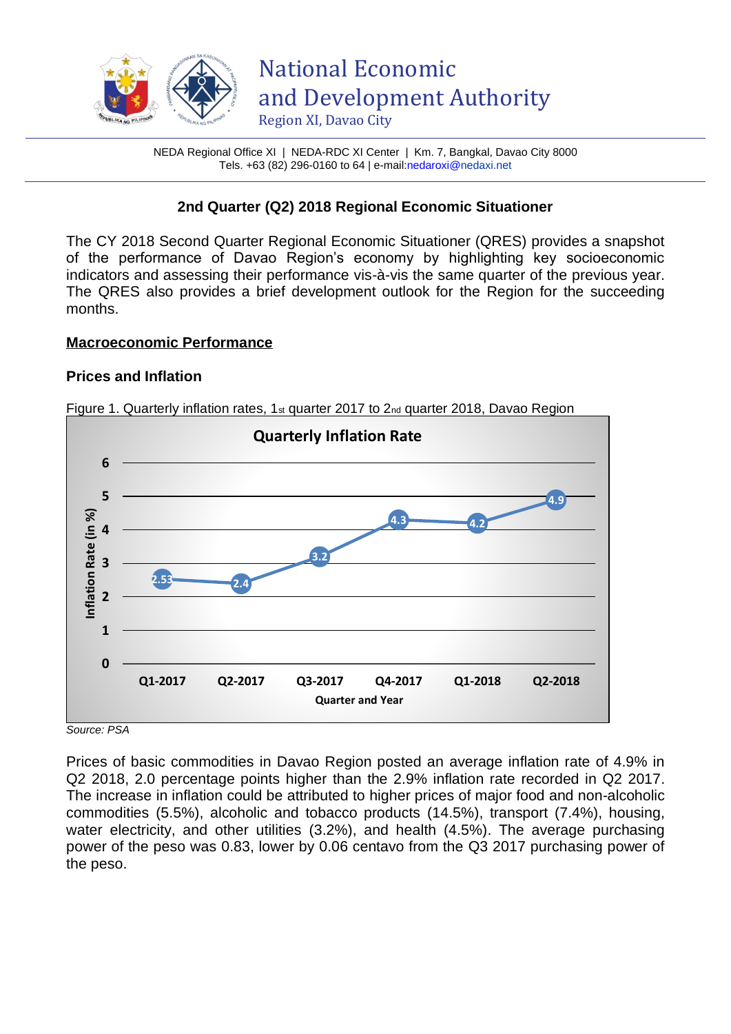

NEDA Regional Office XI | NEDA-RDC XI Center | Km. 7, Bangkal, Davao City 8000 Tels. +63 (82) 296-0160 to 64 | e-mai[l:nedaroxi@n](mailto:nedaroxi@)edaxi.net

# **2nd Quarter (Q2) 2018 Regional Economic Situationer**

The CY 2018 Second Quarter Regional Economic Situationer (QRES) provides a snapshot of the performance of Davao Region's economy by highlighting key socioeconomic indicators and assessing their performance vis-à-vis the same quarter of the previous year. The QRES also provides a brief development outlook for the Region for the succeeding months.

## **Macroeconomic Performance**

## **Prices and Inflation**

Figure 1. Quarterly inflation rates, 1<sup>st</sup> quarter 2017 to 2<sub>nd</sub> quarter 2018, Davao Region



*Source: PSA* 

Prices of basic commodities in Davao Region posted an average inflation rate of 4.9% in Q2 2018, 2.0 percentage points higher than the 2.9% inflation rate recorded in Q2 2017. The increase in inflation could be attributed to higher prices of major food and non-alcoholic commodities (5.5%), alcoholic and tobacco products (14.5%), transport (7.4%), housing, water electricity, and other utilities (3.2%), and health (4.5%). The average purchasing power of the peso was 0.83, lower by 0.06 centavo from the Q3 2017 purchasing power of the peso.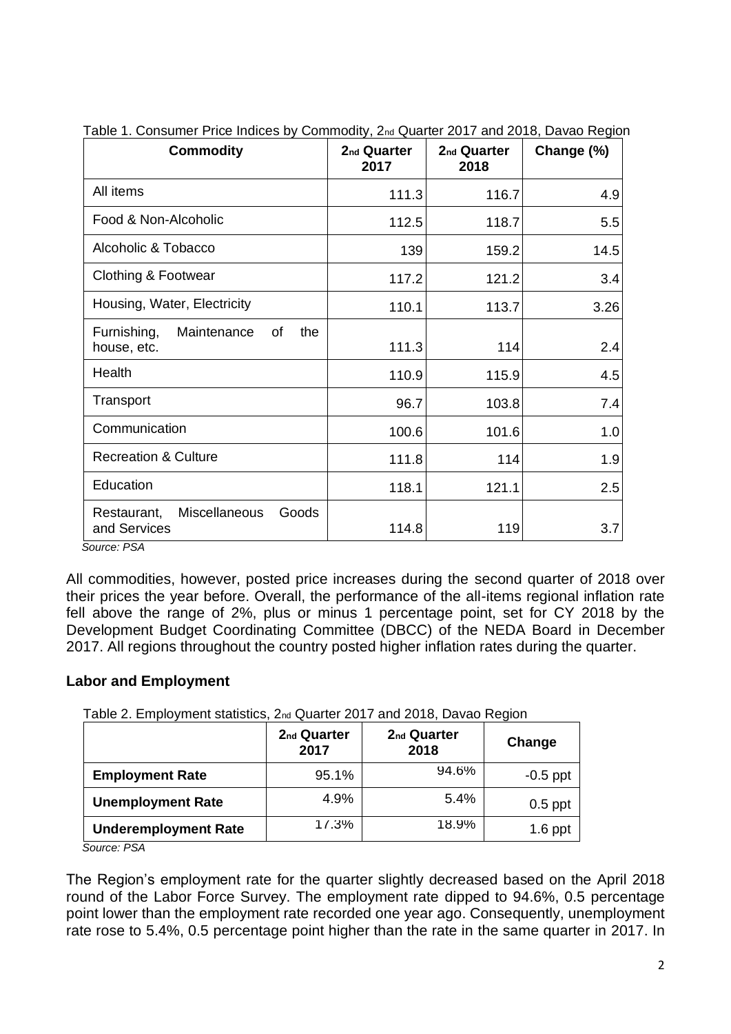| <b>Commodity</b>                                       | 2 <sub>nd</sub> Quarter<br>2017 | 2 <sub>nd</sub> Quarter<br>2018 | Change (%) |
|--------------------------------------------------------|---------------------------------|---------------------------------|------------|
| All items                                              | 111.3                           | 116.7                           | 4.9        |
| Food & Non-Alcoholic                                   | 112.5                           | 118.7                           | 5.5        |
| Alcoholic & Tobacco                                    | 139                             | 159.2                           | 14.5       |
| Clothing & Footwear                                    | 117.2                           | 121.2                           | 3.4        |
| Housing, Water, Electricity                            | 110.1                           | 113.7                           | 3.26       |
| Furnishing,<br>Maintenance<br>the<br>οf<br>house, etc. | 111.3                           | 114                             | 2.4        |
| Health                                                 | 110.9                           | 115.9                           | 4.5        |
| Transport                                              | 96.7                            | 103.8                           | 7.4        |
| Communication                                          | 100.6                           | 101.6                           | 1.0        |
| <b>Recreation &amp; Culture</b>                        | 111.8                           | 114                             | 1.9        |
| Education                                              | 118.1                           | 121.1                           | 2.5        |
| Miscellaneous<br>Goods<br>Restaurant,<br>and Services  | 114.8                           | 119                             | 3.7        |

Table 1. Consumer Price Indices by Commodity, 2nd Quarter 2017 and 2018, Davao Region

 *Source: PSA* 

All commodities, however, posted price increases during the second quarter of 2018 over their prices the year before. Overall, the performance of the all-items regional inflation rate fell above the range of 2%, plus or minus 1 percentage point, set for CY 2018 by the Development Budget Coordinating Committee (DBCC) of the NEDA Board in December 2017. All regions throughout the country posted higher inflation rates during the quarter.

## **Labor and Employment**

Table 2. Employment statistics, 2nd Quarter 2017 and 2018, Davao Region

|                             | 2 <sub>nd</sub> Quarter<br>2017 | 2 <sub>nd</sub> Quarter<br>2018 | Change     |
|-----------------------------|---------------------------------|---------------------------------|------------|
| <b>Employment Rate</b>      | 95.1%                           | 94.6%                           | $-0.5$ ppt |
| <b>Unemployment Rate</b>    | 4.9%                            | 5.4%                            | $0.5$ ppt  |
| <b>Underemployment Rate</b> | 11.3%                           | 18.9%                           | $1.6$ ppt  |

*Source: PSA* 

The Region's employment rate for the quarter slightly decreased based on the April 2018 round of the Labor Force Survey. The employment rate dipped to 94.6%, 0.5 percentage point lower than the employment rate recorded one year ago. Consequently, unemployment rate rose to 5.4%, 0.5 percentage point higher than the rate in the same quarter in 2017. In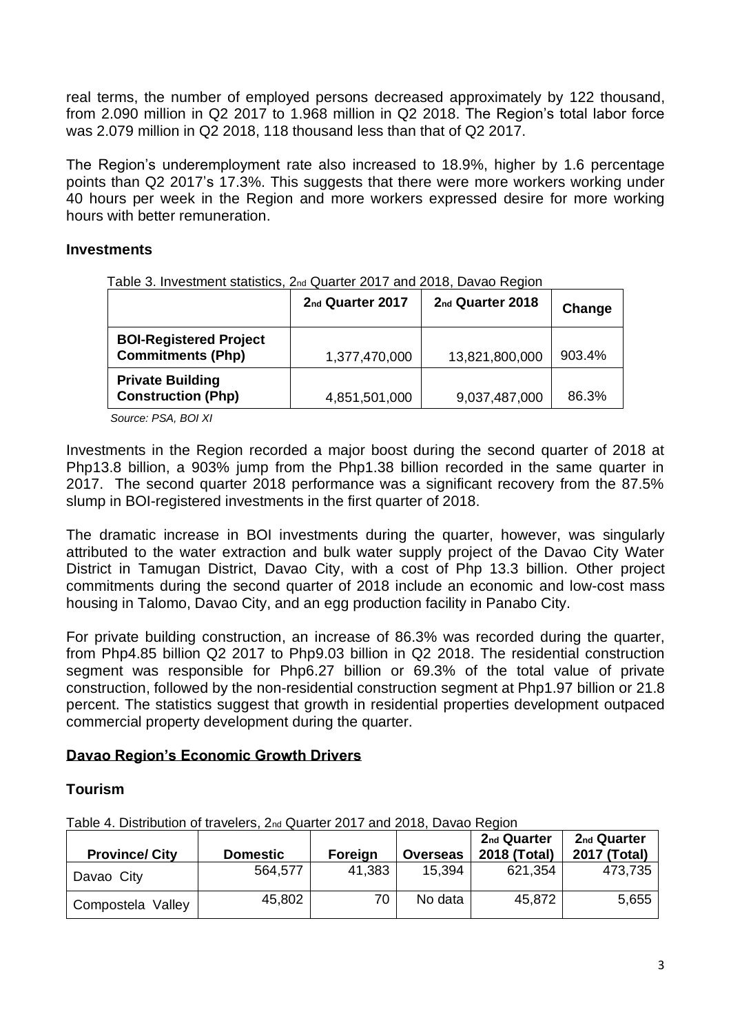real terms, the number of employed persons decreased approximately by 122 thousand, from 2.090 million in Q2 2017 to 1.968 million in Q2 2018. The Region's total labor force was 2.079 million in Q2 2018, 118 thousand less than that of Q2 2017.

The Region's underemployment rate also increased to 18.9%, higher by 1.6 percentage points than Q2 2017's 17.3%. This suggests that there were more workers working under 40 hours per week in the Region and more workers expressed desire for more working hours with better remuneration.

## **Investments**

Table 3. Investment statistics, 2nd Quarter 2017 and 2018, Davao Region

|                                                           | 2 <sub>nd</sub> Quarter 2017 | 2 <sub>nd</sub> Quarter 2018 | Change |
|-----------------------------------------------------------|------------------------------|------------------------------|--------|
| <b>BOI-Registered Project</b><br><b>Commitments (Php)</b> | 1,377,470,000                | 13,821,800,000               | 903.4% |
| <b>Private Building</b><br><b>Construction (Php)</b>      | 4,851,501,000                | 9,037,487,000                | 86.3%  |

*Source: PSA, BOI XI*

Investments in the Region recorded a major boost during the second quarter of 2018 at Php13.8 billion, a 903% jump from the Php1.38 billion recorded in the same quarter in 2017. The second quarter 2018 performance was a significant recovery from the 87.5% slump in BOI-registered investments in the first quarter of 2018.

The dramatic increase in BOI investments during the quarter, however, was singularly attributed to the water extraction and bulk water supply project of the Davao City Water District in Tamugan District, Davao City, with a cost of Php 13.3 billion. Other project commitments during the second quarter of 2018 include an economic and low-cost mass housing in Talomo, Davao City, and an egg production facility in Panabo City.

For private building construction, an increase of 86.3% was recorded during the quarter, from Php4.85 billion Q2 2017 to Php9.03 billion in Q2 2018. The residential construction segment was responsible for Php6.27 billion or 69.3% of the total value of private construction, followed by the non-residential construction segment at Php1.97 billion or 21.8 percent. The statistics suggest that growth in residential properties development outpaced commercial property development during the quarter.

## **Davao Region's Economic Growth Drivers**

## **Tourism**

Table 4. Distribution of travelers, 2nd Quarter 2017 and 2018, Davao Region

| <b>Province/ City</b> | <b>Domestic</b> | <b>Foreign</b> | <b>Overseas</b> | 2 <sub>nd</sub> Quarter<br>2018 (Total) | 2 <sub>nd</sub> Quarter<br>2017 (Total) |
|-----------------------|-----------------|----------------|-----------------|-----------------------------------------|-----------------------------------------|
| Davao City            | 564,577         | 41,383         | 15,394          | 621,354                                 | 473,735                                 |
| Compostela Valley     | 45,802          | 70             | No data         | 45,872                                  | 5,655                                   |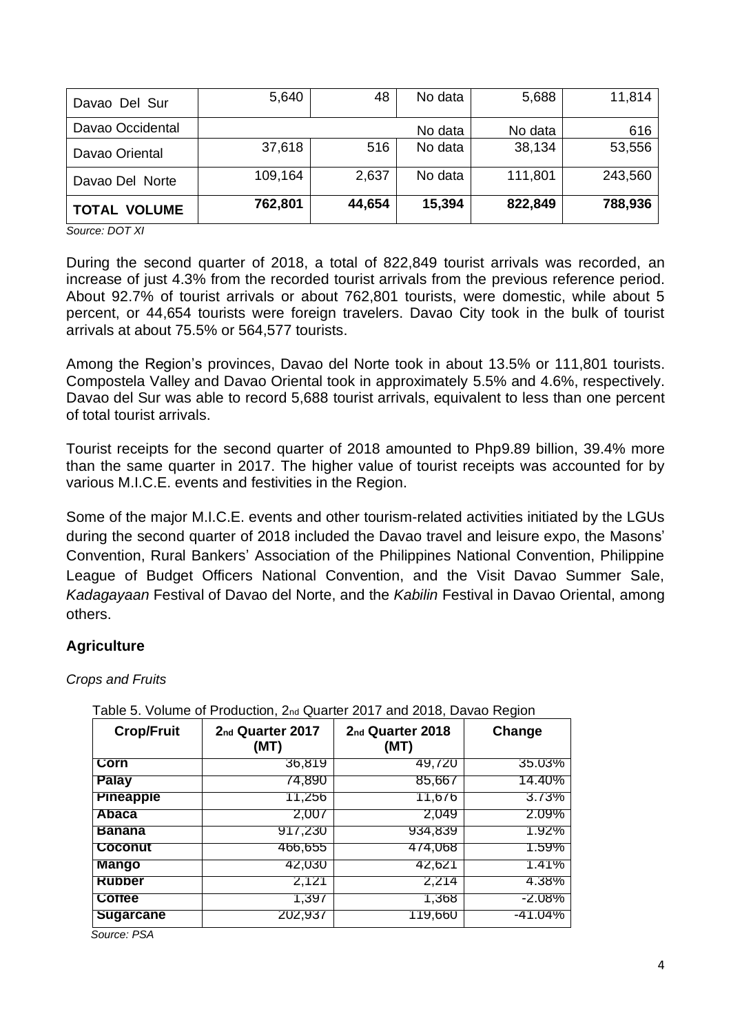| Davao Del Sur       | 5,640   | 48     | No data | 5,688   | 11,814  |
|---------------------|---------|--------|---------|---------|---------|
| Davao Occidental    |         |        | No data | No data | 616     |
| Davao Oriental      | 37,618  | 516    | No data | 38,134  | 53,556  |
| Davao Del Norte     | 109,164 | 2,637  | No data | 111,801 | 243,560 |
| <b>TOTAL VOLUME</b> | 762,801 | 44,654 | 15,394  | 822,849 | 788,936 |

*Source: DOT XI*

During the second quarter of 2018, a total of 822,849 tourist arrivals was recorded, an increase of just 4.3% from the recorded tourist arrivals from the previous reference period. About 92.7% of tourist arrivals or about 762,801 tourists, were domestic, while about 5 percent, or 44,654 tourists were foreign travelers. Davao City took in the bulk of tourist arrivals at about 75.5% or 564,577 tourists.

Among the Region's provinces, Davao del Norte took in about 13.5% or 111,801 tourists. Compostela Valley and Davao Oriental took in approximately 5.5% and 4.6%, respectively. Davao del Sur was able to record 5,688 tourist arrivals, equivalent to less than one percent of total tourist arrivals.

Tourist receipts for the second quarter of 2018 amounted to Php9.89 billion, 39.4% more than the same quarter in 2017. The higher value of tourist receipts was accounted for by various M.I.C.E. events and festivities in the Region.

Some of the major M.I.C.E. events and other tourism-related activities initiated by the LGUs during the second quarter of 2018 included the Davao travel and leisure expo, the Masons' Convention, Rural Bankers' Association of the Philippines National Convention, Philippine League of Budget Officers National Convention, and the Visit Davao Summer Sale, *Kadagayaan* Festival of Davao del Norte, and the *Kabilin* Festival in Davao Oriental, among others.

## **Agriculture**

## *Crops and Fruits*

| <b>Crop/Fruit</b> | 2 <sub>nd</sub> Quarter 2017<br>(MT) | 2 <sub>nd</sub> Quarter 2018<br>(MT) | Change       |
|-------------------|--------------------------------------|--------------------------------------|--------------|
| Corn              | 36,819                               | 49,720                               | 35.03%       |
| Palay             | 74.890                               | 85,667                               | 14.40%       |
| <b>Pineapple</b>  | 11,256                               | 11,676                               | 3.73%        |
| Abaca             | 2,007                                | 2.049                                | 2.09%        |
| <b>Banana</b>     | 917,230                              | 934,839                              | <b>1.92%</b> |
| <b>Coconut</b>    | 466,655                              | 474,068                              | 1.59%        |
| Mango             | 42,030                               | 42,621                               | 1.41%        |
| <b>Rubber</b>     | 2,121                                | 2,214                                | 4.38%        |
| <b>Cottee</b>     | 1,397                                | 1,368                                | $-2.08\%$    |
| <b>Sugarcane</b>  | 202,937                              | 119,660                              | -41.04%      |

#### Table 5. Volume of Production, 2nd Quarter 2017 and 2018, Davao Region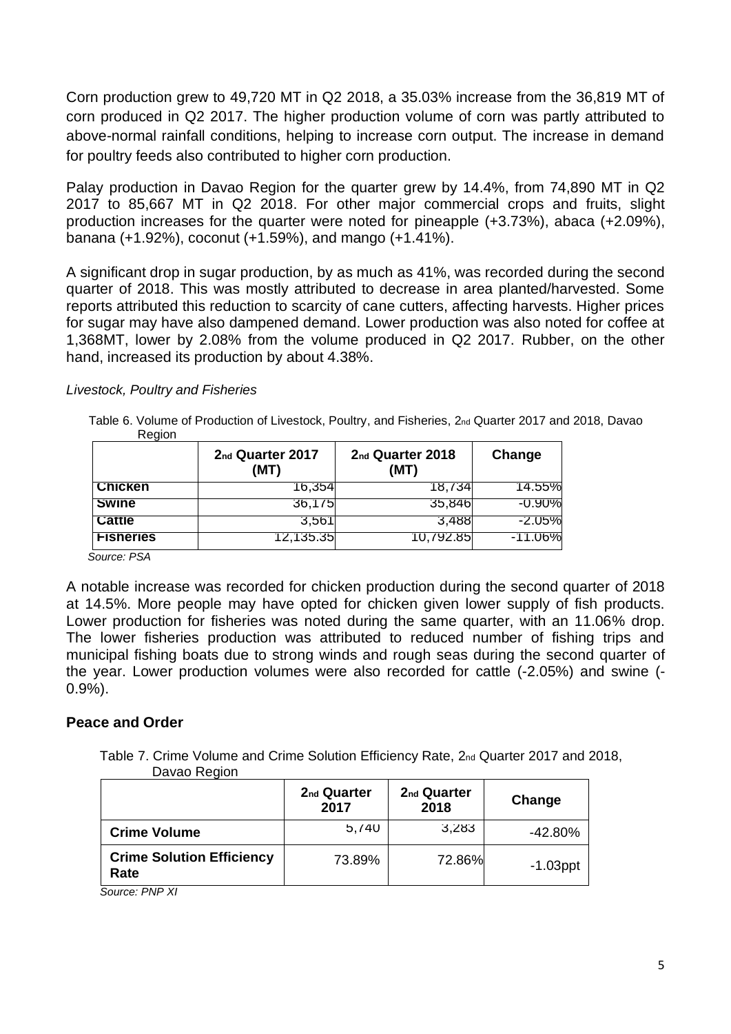Corn production grew to 49,720 MT in Q2 2018, a 35.03% increase from the 36,819 MT of corn produced in Q2 2017. The higher production volume of corn was partly attributed to above-normal rainfall conditions, helping to increase corn output. The increase in demand for poultry feeds also contributed to higher corn production.

Palay production in Davao Region for the quarter grew by 14.4%, from 74,890 MT in Q2 2017 to 85,667 MT in Q2 2018. For other major commercial crops and fruits, slight production increases for the quarter were noted for pineapple (+3.73%), abaca (+2.09%), banana (+1.92%), coconut (+1.59%), and mango (+1.41%).

A significant drop in sugar production, by as much as 41%, was recorded during the second quarter of 2018. This was mostly attributed to decrease in area planted/harvested. Some reports attributed this reduction to scarcity of cane cutters, affecting harvests. Higher prices for sugar may have also dampened demand. Lower production was also noted for coffee at 1,368MT, lower by 2.08% from the volume produced in Q2 2017. Rubber, on the other hand, increased its production by about 4.38%.

#### *Livestock, Poultry and Fisheries*

| Table 6. Volume of Production of Livestock, Poultry, and Fisheries, 2nd Quarter 2017 and 2018, Davao |  |  |
|------------------------------------------------------------------------------------------------------|--|--|
| <b>Region</b>                                                                                        |  |  |

|                  | 2nd Quarter 2017<br>(MT) | 2 <sub>nd</sub> Quarter 2018<br>(MT) | Change     |
|------------------|--------------------------|--------------------------------------|------------|
| <b>Chicken</b>   | 16,354                   | 18,734                               | 14.55%     |
| <b>Swine</b>     | 36,1/5                   | 35,846                               | $-0.90\%$  |
| <b>Cattle</b>    | 3,561                    | 3.488                                | -2.05%     |
| <b>Fisheries</b> | 12,135.35                | 10,792.85                            | $-11.06\%$ |

 *Source: PSA* 

A notable increase was recorded for chicken production during the second quarter of 2018 at 14.5%. More people may have opted for chicken given lower supply of fish products. Lower production for fisheries was noted during the same quarter, with an 11.06% drop. The lower fisheries production was attributed to reduced number of fishing trips and municipal fishing boats due to strong winds and rough seas during the second quarter of the year. Lower production volumes were also recorded for cattle (-2.05%) and swine (- 0.9%).

## **Peace and Order**

 Table 7. Crime Volume and Crime Solution Efficiency Rate, 2nd Quarter 2017 and 2018, Davao Region

|                                          | 2 <sub>nd</sub> Quarter<br>2017 | 2 <sub>nd</sub> Quarter<br>2018 | Change      |
|------------------------------------------|---------------------------------|---------------------------------|-------------|
| <b>Crime Volume</b>                      | 5,740                           | 3.283                           | $-42.80%$   |
| <b>Crime Solution Efficiency</b><br>Rate | 73.89%                          | 72.86%                          | $-1.03$ ppt |

 *Source: PNP XI*